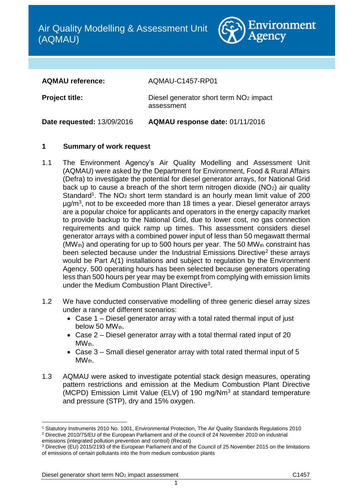

**AQMAU reference:** AQMAU-C1457-RP01

**Project title:** Diesel generator short term NO<sub>2</sub> impact assessment

**Date requested:** 13/09/2016 **AQMAU response date:** 01/11/2016

# **1 Summary of work request**

- 1.1 The Environment Agency's Air Quality Modelling and Assessment Unit (AQMAU) were asked by the Department for Environment, Food & Rural Affairs (Defra) to investigate the potential for diesel generator arrays, for National Grid back up to cause a breach of the short term nitrogen dioxide  $(NO<sub>2</sub>)$  air quality Standard<sup>1</sup>. The NO<sub>2</sub> short term standard is an hourly mean limit value of 200 µg/m<sup>3</sup>, not to be exceeded more than 18 times a year. Diesel generator arrays are a popular choice for applicants and operators in the energy capacity market to provide backup to the National Grid, due to lower cost, no gas connection requirements and quick ramp up times. This assessment considers diesel generator arrays with a combined power input of less than 50 megawatt thermal (MW $_{\text{th}}$ ) and operating for up to 500 hours per year. The 50 MW $_{\text{th}}$  constraint has been selected because under the Industrial Emissions Directive<sup>2</sup> these arrays would be Part A(1) installations and subject to regulation by the Environment Agency. 500 operating hours has been selected because generators operating less than 500 hours per year may be exempt from complying with emission limits under the Medium Combustion Plant Directive<sup>3</sup>.
- 1.2 We have conducted conservative modelling of three generic diesel array sizes under a range of different scenarios:
	- Case 1 Diesel generator array with a total rated thermal input of just below 50  $MW_{th}$ .
	- Case 2 Diesel generator array with a total thermal rated input of 20 MW<sub>th</sub>.
	- Case 3 Small diesel generator array with total rated thermal input of 5 MW<sub>th</sub>.
- 1.3 AQMAU were asked to investigate potential stack design measures, operating pattern restrictions and emission at the Medium Combustion Plant Directive (MCPD) Emission Limit Value (ELV) of 190 mg/Nm<sup>3</sup> at standard temperature and pressure (STP), dry and 15% oxygen.

 $\overline{a}$ 

<sup>1</sup> Statutory Instruments 2010 No. 1001, Environmental Protection, The Air Quality Standards Regulations 2010 <sup>2</sup> Directive 2010/75/EU of the European Parliament and of the council of 24 November 2010 on industrial emissions (integrated pollution prevention and control) (Recast)

<sup>3</sup> Directive (EU) 2015/2193 of the European Parliament and of the Council of 25 November 2015 on the limitations of emissions of certain pollutants into the from medium combustion plants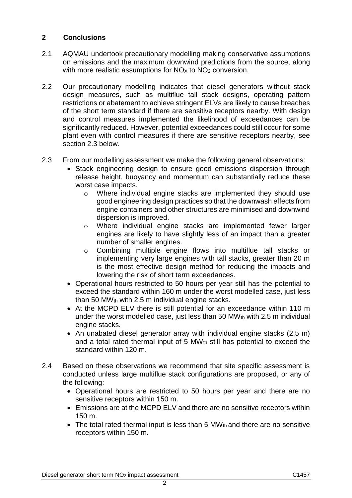# **2 Conclusions**

- 2.1 AQMAU undertook precautionary modelling making conservative assumptions on emissions and the maximum downwind predictions from the source, along with more realistic assumptions for  $NO<sub>X</sub>$  to  $NO<sub>2</sub>$  conversion.
- 2.2 Our precautionary modelling indicates that diesel generators without stack design measures, such as multiflue tall stack designs, operating pattern restrictions or abatement to achieve stringent ELVs are likely to cause breaches of the short term standard if there are sensitive receptors nearby. With design and control measures implemented the likelihood of exceedances can be significantly reduced. However, potential exceedances could still occur for some plant even with control measures if there are sensitive receptors nearby, see section 2.3 below.
- 2.3 From our modelling assessment we make the following general observations:
	- Stack engineering design to ensure good emissions dispersion through release height, buoyancy and momentum can substantially reduce these worst case impacts.
		- o Where individual engine stacks are implemented they should use good engineering design practices so that the downwash effects from engine containers and other structures are minimised and downwind dispersion is improved.
		- o Where individual engine stacks are implemented fewer larger engines are likely to have slightly less of an impact than a greater number of smaller engines.
		- o Combining multiple engine flows into multiflue tall stacks or implementing very large engines with tall stacks, greater than 20 m is the most effective design method for reducing the impacts and lowering the risk of short term exceedances.
	- Operational hours restricted to 50 hours per year still has the potential to exceed the standard within 160 m under the worst modelled case, just less than 50 MW $_{\text{th}}$  with 2.5 m individual engine stacks.
	- At the MCPD ELV there is still potential for an exceedance within 110 m under the worst modelled case, just less than 50 MW $_{th}$  with 2.5 m individual engine stacks.
	- An unabated diesel generator array with individual engine stacks (2.5 m) and a total rated thermal input of 5  $MW<sub>th</sub>$  still has potential to exceed the standard within 120 m.
- 2.4 Based on these observations we recommend that site specific assessment is conducted unless large multiflue stack configurations are proposed, or any of the following:
	- Operational hours are restricted to 50 hours per year and there are no sensitive receptors within 150 m.
	- Emissions are at the MCPD ELV and there are no sensitive receptors within 150 m.
	- $\bullet$  The total rated thermal input is less than 5 MW<sub>th</sub> and there are no sensitive receptors within 150 m.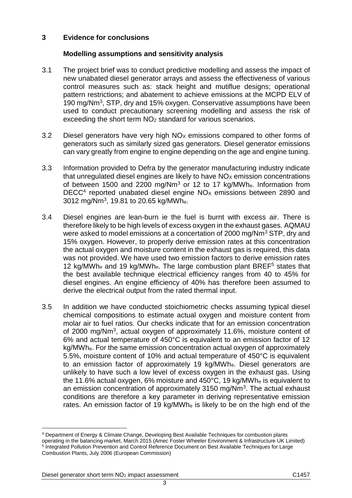# **3 Evidence for conclusions**

# **Modelling assumptions and sensitivity analysis**

- 3.1 The project brief was to conduct predictive modelling and assess the impact of new unabated diesel generator arrays and assess the effectiveness of various control measures such as: stack height and mutiflue designs; operational pattern restrictions; and abatement to achieve emissions at the MCPD ELV of 190 mg/Nm<sup>3</sup>, STP, dry and 15% oxygen. Conservative assumptions have been used to conduct precautionary screening modelling and assess the risk of exceeding the short term NO<sup>2</sup> standard for various scenarios.
- 3.2 Diesel generators have very high  $NO<sub>X</sub>$  emissions compared to other forms of generators such as similarly sized gas generators. Diesel generator emissions can vary greatly from engine to engine depending on the age and engine tuning.
- 3.3 Information provided to Defra by the generator manufacturing industry indicate that unregulated diesel engines are likely to have  $NO<sub>X</sub>$  emission concentrations of between 1500 and 2200 mg/Nm<sup>3</sup> or 12 to 17 kg/MWh<sub>e</sub>. Information from DECC $4$  reported unabated diesel engine NO<sub>x</sub> emissions between 2890 and  $3012$  mg/Nm<sup>3</sup>, 19.81 to 20.65 kg/MWh $_{\rm e}$ .
- 3.4 Diesel engines are lean-burn ie the fuel is burnt with excess air. There is therefore likely to be high levels of excess oxygen in the exhaust gases. AQMAU were asked to model emissions at a concertation of 2000 mg/Nm<sup>3</sup> STP, dry and 15% oxygen. However, to properly derive emission rates at this concentration the actual oxygen and moisture content in the exhaust gas is required, this data was not provided. We have used two emission factors to derive emission rates 12 kg/MWh<sub>e</sub> and 19 kg/MWh<sub>e</sub>. The large combustion plant BREF<sup>5</sup> states that the best available technique electrical efficiency ranges from 40 to 45% for diesel engines. An engine efficiency of 40% has therefore been assumed to derive the electrical output from the rated thermal input.
- 3.5 In addition we have conducted stoichiometric checks assuming typical diesel chemical compositions to estimate actual oxygen and moisture content from molar air to fuel ratios. Our checks indicate that for an emission concentration of 2000 mg/Nm<sup>3</sup>, actual oxygen of approximately 11.6%, moisture content of 6% and actual temperature of 450°C is equivalent to an emission factor of 12 kg/MWhe. For the same emission concentration actual oxygen of approximately 5.5%, moisture content of 10% and actual temperature of 450°C is equivalent to an emission factor of approximately 19 kg/MWhe. Diesel generators are unlikely to have such a low level of excess oxygen in the exhaust gas. Using the 11.6% actual oxygen, 6% moisture and 450°C, 19 kg/MWh<sup>e</sup> is equivalent to an emission concentration of approximately 3150 mg/Nm<sup>3</sup>. The actual exhaust conditions are therefore a key parameter in deriving representative emission rates. An emission factor of 19 kg/MWh<sup>e</sup> is likely to be on the high end of the

<sup>4</sup> Department of Energy & Climate Change, Developing Best Available Techniques for combustion plants operating in the balancing market, March 2015 (Amec Foster Wheeler Environment & Infrastructure UK Limited) <sup>5</sup> Integrated Pollution Prevention and Control Reference Document on Best Available Techniques for Large Combustion Plants, July 2006 (European Commission)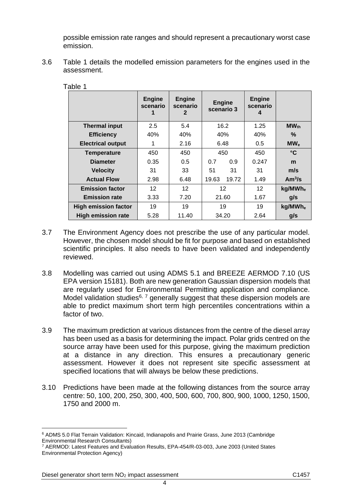possible emission rate ranges and should represent a precautionary worst case emission.

3.6 Table 1 details the modelled emission parameters for the engines used in the assessment.

|                             | <b>Engine</b><br>scenario | <b>Engine</b><br>scenario<br>2 | <b>Engine</b><br>scenario 3 |       | <b>Engine</b><br>scenario |                     |
|-----------------------------|---------------------------|--------------------------------|-----------------------------|-------|---------------------------|---------------------|
| <b>Thermal input</b>        | 2.5                       | 5.4                            | 16.2                        |       | 1.25                      | $MW_{th}$           |
| <b>Efficiency</b>           | 40%                       | 40%                            | 40%                         |       | 40%                       | %                   |
| <b>Electrical output</b>    | 1                         | 2.16                           | 6.48                        |       | 0.5                       | MW <sub>e</sub>     |
| <b>Temperature</b>          | 450                       | 450                            | 450                         |       | 450                       | $\rm ^{\circ}C$     |
| <b>Diameter</b>             | 0.35                      | 0.5                            | 0.7                         | 0.9   | 0.247                     | m                   |
| <b>Velocity</b>             | 31                        | 33                             | 51                          | 31    | 31                        | m/s                 |
| <b>Actual Flow</b>          | 2.98                      | 6.48                           | 19.63                       | 19.72 | 1.49                      | Am <sup>3</sup> /s  |
| <b>Emission factor</b>      | 12                        | 12                             | 12                          |       | 12 <sup>2</sup>           | kg/MWh <sub>e</sub> |
| <b>Emission rate</b>        | 3.33                      | 7.20                           | 21.60                       |       | 1.67                      | g/s                 |
| <b>High emission factor</b> | 19                        | 19                             | 19                          |       | 19                        | kg/MWh <sub>e</sub> |
| <b>High emission rate</b>   | 5.28                      | 11.40                          | 34.20                       |       | 2.64                      | g/s                 |

Table 1

- 3.7 The Environment Agency does not prescribe the use of any particular model. However, the chosen model should be fit for purpose and based on established scientific principles. It also needs to have been validated and independently reviewed.
- 3.8 Modelling was carried out using ADMS 5.1 and BREEZE AERMOD 7.10 (US EPA version 15181). Both are new generation Gaussian dispersion models that are regularly used for Environmental Permitting application and compliance. Model validation studies<sup>6, 7</sup> generally suggest that these dispersion models are able to predict maximum short term high percentiles concentrations within a factor of two.
- 3.9 The maximum prediction at various distances from the centre of the diesel array has been used as a basis for determining the impact. Polar grids centred on the source array have been used for this purpose, giving the maximum prediction at a distance in any direction. This ensures a precautionary generic assessment. However it does not represent site specific assessment at specified locations that will always be below these predictions.
- 3.10 Predictions have been made at the following distances from the source array centre: 50, 100, 200, 250, 300, 400, 500, 600, 700, 800, 900, 1000, 1250, 1500, 1750 and 2000 m.

<sup>6</sup> ADMS 5.0 Flat Terrain Validation: Kincaid, Indianapolis and Prairie Grass, June 2013 (Cambridge Environmental Research Consultants)

<sup>7</sup> AERMOD: Latest Features and Evaluation Results, EPA-454/R-03-003, June 2003 (United States Environmental Protection Agency)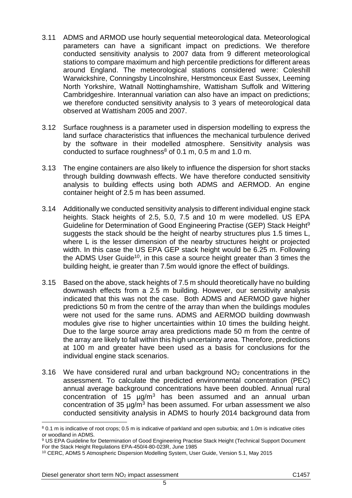- 3.11 ADMS and ARMOD use hourly sequential meteorological data. Meteorological parameters can have a significant impact on predictions. We therefore conducted sensitivity analysis to 2007 data from 9 different meteorological stations to compare maximum and high percentile predictions for different areas around England. The meteorological stations considered were: Coleshill Warwickshire, Conningsby Lincolnshire, Herstmonceux East Sussex, Leeming North Yorkshire, Watnall Nottinghamshire, Wattisham Suffolk and Wittering Cambridgeshire. Interannual variation can also have an impact on predictions; we therefore conducted sensitivity analysis to 3 years of meteorological data observed at Wattisham 2005 and 2007.
- 3.12 Surface roughness is a parameter used in dispersion modelling to express the land surface characteristics that influences the mechanical turbulence derived by the software in their modelled atmosphere. Sensitivity analysis was conducted to surface roughness<sup>8</sup> of 0.1 m, 0.5 m and 1.0 m.
- 3.13 The engine containers are also likely to influence the dispersion for short stacks through building downwash effects. We have therefore conducted sensitivity analysis to building effects using both ADMS and AERMOD. An engine container height of 2.5 m has been assumed.
- 3.14 Additionally we conducted sensitivity analysis to different individual engine stack heights. Stack heights of 2.5, 5.0, 7.5 and 10 m were modelled. US EPA Guideline for Determination of Good Engineering Practise (GEP) Stack Height<sup>9</sup> suggests the stack should be the height of nearby structures plus 1.5 times L, where L is the lesser dimension of the nearby structures height or projected width. In this case the US EPA GEP stack height would be 6.25 m. Following the ADMS User Guide<sup>10</sup>, in this case a source height greater than 3 times the building height, ie greater than 7.5m would ignore the effect of buildings.
- 3.15 Based on the above, stack heights of 7.5 m should theoretically have no building downwash effects from a 2.5 m building. However, our sensitivity analysis indicated that this was not the case. Both ADMS and AERMOD gave higher predictions 50 m from the centre of the array than when the buildings modules were not used for the same runs. ADMS and AERMOD building downwash modules give rise to higher uncertainties within 10 times the building height. Due to the large source array area predictions made 50 m from the centre of the array are likely to fall within this high uncertainty area. Therefore, predictions at 100 m and greater have been used as a basis for conclusions for the individual engine stack scenarios.
- 3.16 We have considered rural and urban background NO<sup>2</sup> concentrations in the assessment. To calculate the predicted environmental concentration (PEC) annual average background concentrations have been doubled. Annual rural concentration of 15  $\mu$ g/m<sup>3</sup> has been assumed and an annual urban concentration of 35 µg/m<sup>3</sup> has been assumed. For urban assessment we also conducted sensitivity analysis in ADMS to hourly 2014 background data from

<sup>8</sup> 0.1 m is indicative of root crops; 0.5 m is indicative of parkland and open suburbia; and 1.0m is indicative cities or woodland in ADMS.

<sup>9</sup> US EPA Guideline for Determination of Good Engineering Practise Stack Height (Technical Support Document For the Stack Height Regulations EPA-450/4-80-023R, June 1985

<sup>10</sup> CERC, ADMS 5 Atmospheric Dispersion Modelling System, User Guide, Version 5.1, May 2015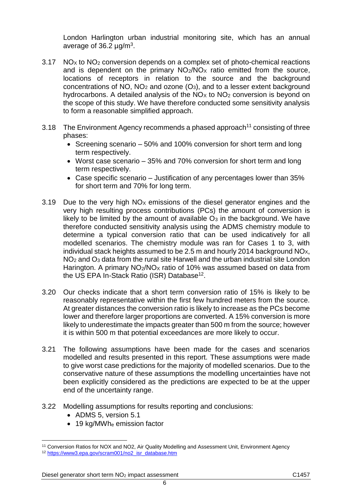London Harlington urban industrial monitoring site, which has an annual average of 36.2  $\mu$ g/m<sup>3</sup>.

- $3.17$  NO<sub>x</sub> to NO<sub>2</sub> conversion depends on a complex set of photo-chemical reactions and is dependent on the primary  $NO<sub>2</sub>/NO<sub>X</sub>$  ratio emitted from the source, locations of receptors in relation to the source and the background concentrations of NO,  $NO<sub>2</sub>$  and ozone  $(O<sub>3</sub>)$ , and to a lesser extent background hydrocarbons. A detailed analysis of the  $NO<sub>X</sub>$  to  $NO<sub>2</sub>$  conversion is beyond on the scope of this study. We have therefore conducted some sensitivity analysis to form a reasonable simplified approach.
- 3.18 The Environment Agency recommends a phased approach<sup>11</sup> consisting of three phases:
	- Screening scenario 50% and 100% conversion for short term and long term respectively.
	- Worst case scenario 35% and 70% conversion for short term and long term respectively.
	- Case specific scenario Justification of any percentages lower than 35% for short term and 70% for long term.
- 3.19 Due to the very high  $NO<sub>X</sub>$  emissions of the diesel generator engines and the very high resulting process contributions (PCs) the amount of conversion is likely to be limited by the amount of available  $O<sub>3</sub>$  in the background. We have therefore conducted sensitivity analysis using the ADMS chemistry module to determine a typical conversion ratio that can be used indicatively for all modelled scenarios. The chemistry module was ran for Cases 1 to 3, with individual stack heights assumed to be 2.5 m and hourly 2014 background NO<sub>x</sub>, NO<sup>2</sup> and O<sup>3</sup> data from the rural site Harwell and the urban industrial site London Harington. A primary NO<sub>2</sub>/NO<sub>x</sub> ratio of 10% was assumed based on data from the US EPA In-Stack Ratio (ISR) Database<sup>12</sup>.
- 3.20 Our checks indicate that a short term conversion ratio of 15% is likely to be reasonably representative within the first few hundred meters from the source. At greater distances the conversion ratio is likely to increase as the PCs become lower and therefore larger proportions are converted. A 15% conversion is more likely to underestimate the impacts greater than 500 m from the source; however it is within 500 m that potential exceedances are more likely to occur.
- 3.21 The following assumptions have been made for the cases and scenarios modelled and results presented in this report. These assumptions were made to give worst case predictions for the majority of modelled scenarios. Due to the conservative nature of these assumptions the modelling uncertainties have not been explicitly considered as the predictions are expected to be at the upper end of the uncertainty range.
- 3.22 Modelling assumptions for results reporting and conclusions:
	- ADMS 5, version 5.1

 $\overline{a}$ 

• 19 kg/MWhe emission factor

<sup>&</sup>lt;sup>11</sup> Conversion Ratios for NOX and NO2, Air Quality Modelling and Assessment Unit, Environment Agency <sup>12</sup> [https://www3.epa.gov/scram001/no2\\_isr\\_database.htm](https://www3.epa.gov/scram001/no2_isr_database.htm)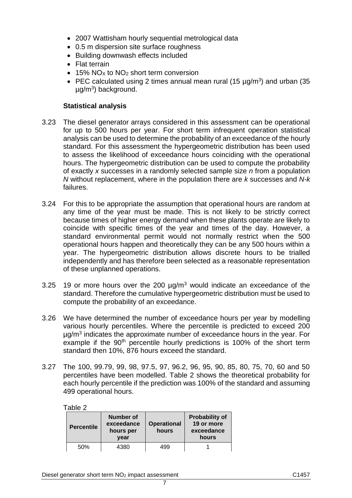- 2007 Wattisham hourly sequential metrological data
- 0.5 m dispersion site surface roughness
- Building downwash effects included
- Flat terrain
- $\bullet$  15% NO<sub>x</sub> to NO<sub>2</sub> short term conversion
- PEC calculated using 2 times annual mean rural (15  $\mu$ g/m<sup>3</sup>) and urban (35 µg/m<sup>3</sup> ) background.

#### **Statistical analysis**

- 3.23 The diesel generator arrays considered in this assessment can be operational for up to 500 hours per year. For short term infrequent operation statistical analysis can be used to determine the probability of an exceedance of the hourly standard. For this assessment the hypergeometric distribution has been used to assess the likelihood of exceedance hours coinciding with the operational hours. The hypergeometric distribution can be used to compute the probability of exactly *x* successes in a randomly selected sample size *n* from a population *N* without replacement, where in the population there are *k* successes and *N-k* failures.
- 3.24 For this to be appropriate the assumption that operational hours are random at any time of the year must be made. This is not likely to be strictly correct because times of higher energy demand when these plants operate are likely to coincide with specific times of the year and times of the day. However, a standard environmental permit would not normally restrict when the 500 operational hours happen and theoretically they can be any 500 hours within a year. The hypergeometric distribution allows discrete hours to be trialled independently and has therefore been selected as a reasonable representation of these unplanned operations.
- 3.25 19 or more hours over the 200  $\mu q/m^3$  would indicate an exceedance of the standard. Therefore the cumulative hypergeometric distribution must be used to compute the probability of an exceedance.
- 3.26 We have determined the number of exceedance hours per year by modelling various hourly percentiles. Where the percentile is predicted to exceed 200 µg/m<sup>3</sup> indicates the approximate number of exceedance hours in the year. For example if the 90<sup>th</sup> percentile hourly predictions is 100% of the short term standard then 10%, 876 hours exceed the standard.
- 3.27 The 100, 99.79, 99, 98, 97.5, 97, 96.2, 96, 95, 90, 85, 80, 75, 70, 60 and 50 percentiles have been modelled. Table 2 shows the theoretical probability for each hourly percentile if the prediction was 100% of the standard and assuming 499 operational hours.

#### Table 2

| <b>Percentile</b> | Number of<br>exceedance<br>hours per<br>year | <b>Operational</b><br>hours | <b>Probability of</b><br>19 or more<br>exceedance<br>hours |
|-------------------|----------------------------------------------|-----------------------------|------------------------------------------------------------|
| 50%               | 4380                                         | 499                         |                                                            |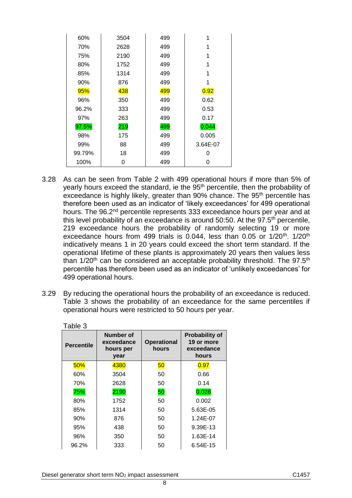| 60%    | 3504 | 499 | 1        |
|--------|------|-----|----------|
| 70%    | 2628 | 499 | 1        |
| 75%    | 2190 | 499 | 1        |
| 80%    | 1752 | 499 |          |
| 85%    | 1314 | 499 | 1        |
| 90%    | 876  | 499 | 1        |
| 95%    | 438  | 499 | 0.92     |
| 96%    | 350  | 499 | 0.62     |
| 96.2%  | 333  | 499 | 0.53     |
| 97%    | 263  | 499 | 0.17     |
| 97.5%  | 219  | 499 | 0.044    |
| 98%    | 175  | 499 | 0.005    |
| 99%    | 88   | 499 | 3.64E-07 |
| 99.79% | 18   | 499 | O        |
| 100%   | 0    | 499 | O        |

- 3.28 As can be seen from Table 2 with 499 operational hours if more than 5% of yearly hours exceed the standard, ie the 95<sup>th</sup> percentile, then the probability of exceedance is highly likely, greater than 90% chance. The 95<sup>th</sup> percentile has therefore been used as an indicator of 'likely exceedances' for 499 operational hours. The 96.2<sup>nd</sup> percentile represents 333 exceedance hours per year and at this level probability of an exceedance is around  $50:50$ . At the  $97.5<sup>th</sup>$  percentile, 219 exceedance hours the probability of randomly selecting 19 or more exceedance hours from 499 trials is 0.044, less than 0.05 or  $1/20$ <sup>th</sup>.  $1/20$ <sup>th</sup> indicatively means 1 in 20 years could exceed the short term standard. If the operational lifetime of these plants is approximately 20 years then values less than  $1/20<sup>th</sup>$  can be considered an acceptable probability threshold. The 97.5<sup>th</sup> percentile has therefore been used as an indicator of 'unlikely exceedances' for 499 operational hours.
- 3.29 By reducing the operational hours the probability of an exceedance is reduced. Table 3 shows the probability of an exceedance for the same percentiles if operational hours were restricted to 50 hours per year.

| Table 3           |                                              |                             |                                                            |
|-------------------|----------------------------------------------|-----------------------------|------------------------------------------------------------|
| <b>Percentile</b> | Number of<br>exceedance<br>hours per<br>year | <b>Operational</b><br>hours | <b>Probability of</b><br>19 or more<br>exceedance<br>hours |
| 50%               | 4380                                         | 50                          | 0.97                                                       |
| 60%               | 3504                                         | 50                          | 0.66                                                       |
| 70%               | 2628                                         | 50                          | 0.14                                                       |
| 75%               | 2190                                         | 50                          | 0.028                                                      |
| 80%               | 1752                                         | 50                          | 0.002                                                      |
| 85%               | 1314                                         | 50                          | 5.63E-05                                                   |
| 90%               | 876                                          | 50                          | 1.24E-07                                                   |
| 95%               | 438                                          | 50                          | 9.39E-13                                                   |
| 96%               | 350                                          | 50                          | 1.63E-14                                                   |
| 96.2%             | 333                                          | 50                          | 6.54E-15                                                   |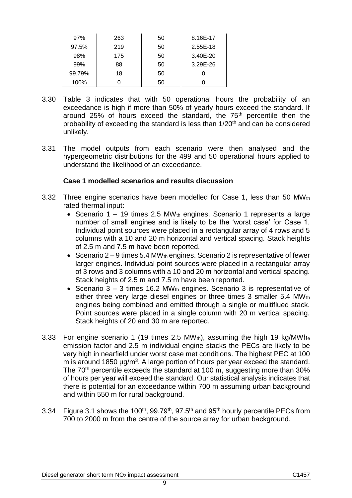| 97%    | 263 | 50 | 8.16E-17 |
|--------|-----|----|----------|
| 97.5%  | 219 | 50 | 2.55E-18 |
| 98%    | 175 | 50 | 3.40E-20 |
| 99%    | 88  | 50 | 3.29E-26 |
| 99.79% | 18  | 50 |          |
| 100%   |     | 50 |          |

- 3.30 Table 3 indicates that with 50 operational hours the probability of an exceedance is high if more than 50% of yearly hours exceed the standard. If around 25% of hours exceed the standard, the 75<sup>th</sup> percentile then the probability of exceeding the standard is less than 1/20<sup>th</sup> and can be considered unlikely.
- 3.31 The model outputs from each scenario were then analysed and the hypergeometric distributions for the 499 and 50 operational hours applied to understand the likelihood of an exceedance.

### **Case 1 modelled scenarios and results discussion**

- 3.32 Three engine scenarios have been modelled for Case 1, less than 50 MWth rated thermal input:
	- Scenario 1 19 times 2.5 MW $_{th}$  engines. Scenario 1 represents a large number of small engines and is likely to be the 'worst case' for Case 1. Individual point sources were placed in a rectangular array of 4 rows and 5 columns with a 10 and 20 m horizontal and vertical spacing. Stack heights of 2.5 m and 7.5 m have been reported.
	- Scenario  $2 9$  times 5.4 MW<sub>th</sub> engines. Scenario 2 is representative of fewer larger engines. Individual point sources were placed in a rectangular array of 3 rows and 3 columns with a 10 and 20 m horizontal and vertical spacing. Stack heights of 2.5 m and 7.5 m have been reported.
	- Scenario  $3 3$  times 16.2 MWth engines. Scenario 3 is representative of either three very large diesel engines or three times 3 smaller 5.4 MWth engines being combined and emitted through a single or multiflued stack. Point sources were placed in a single column with 20 m vertical spacing. Stack heights of 20 and 30 m are reported.
- 3.33 For engine scenario 1 (19 times 2.5  $MW<sub>th</sub>$ ), assuming the high 19 kg/MWhe emission factor and 2.5 m individual engine stacks the PECs are likely to be very high in nearfield under worst case met conditions. The highest PEC at 100 m is around 1850  $\mu$ g/m<sup>3</sup>. A large portion of hours per year exceed the standard. The 70<sup>th</sup> percentile exceeds the standard at 100 m, suggesting more than 30% of hours per year will exceed the standard. Our statistical analysis indicates that there is potential for an exceedance within 700 m assuming urban background and within 550 m for rural background.
- 3.34 Figure 3.1 shows the 100<sup>th</sup>, 99.79<sup>th</sup>, 97.5<sup>th</sup> and 95<sup>th</sup> hourly percentile PECs from 700 to 2000 m from the centre of the source array for urban background.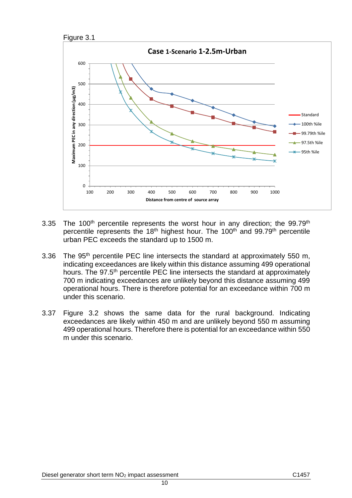



- 3.35 The 100<sup>th</sup> percentile represents the worst hour in any direction; the 99.79<sup>th</sup> percentile represents the 18<sup>th</sup> highest hour. The 100<sup>th</sup> and 99.79<sup>th</sup> percentile urban PEC exceeds the standard up to 1500 m.
- 3.36 The 95<sup>th</sup> percentile PEC line intersects the standard at approximately 550 m, indicating exceedances are likely within this distance assuming 499 operational hours. The 97.5<sup>th</sup> percentile PEC line intersects the standard at approximately 700 m indicating exceedances are unlikely beyond this distance assuming 499 operational hours. There is therefore potential for an exceedance within 700 m under this scenario.
- 3.37 Figure 3.2 shows the same data for the rural background. Indicating exceedances are likely within 450 m and are unlikely beyond 550 m assuming 499 operational hours. Therefore there is potential for an exceedance within 550 m under this scenario.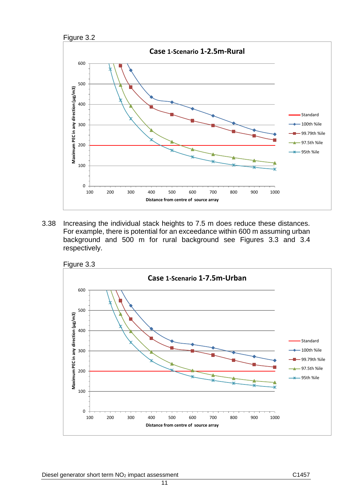



3.38 Increasing the individual stack heights to 7.5 m does reduce these distances. For example, there is potential for an exceedance within 600 m assuming urban background and 500 m for rural background see Figures 3.3 and 3.4 respectively.



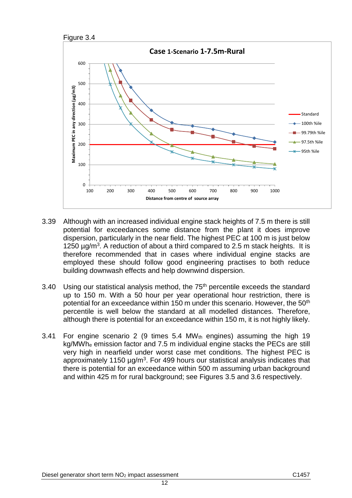



- 3.39 Although with an increased individual engine stack heights of 7.5 m there is still potential for exceedances some distance from the plant it does improve dispersion, particularly in the near field. The highest PEC at 100 m is just below 1250  $\mu$ g/m<sup>3</sup>. A reduction of about a third compared to 2.5 m stack heights. It is therefore recommended that in cases where individual engine stacks are employed these should follow good engineering practises to both reduce building downwash effects and help downwind dispersion.
- 3.40 Using our statistical analysis method, the  $75<sup>th</sup>$  percentile exceeds the standard up to 150 m. With a 50 hour per year operational hour restriction, there is potential for an exceedance within 150 m under this scenario. However, the 50<sup>th</sup> percentile is well below the standard at all modelled distances. Therefore, although there is potential for an exceedance within 150 m, it is not highly likely.
- 3.41 For engine scenario 2 (9 times  $5.4$  MW<sub>th</sub> engines) assuming the high 19 kg/MWh<sup>e</sup> emission factor and 7.5 m individual engine stacks the PECs are still very high in nearfield under worst case met conditions. The highest PEC is approximately 1150  $\mu$ g/m<sup>3</sup>. For 499 hours our statistical analysis indicates that there is potential for an exceedance within 500 m assuming urban background and within 425 m for rural background; see Figures 3.5 and 3.6 respectively.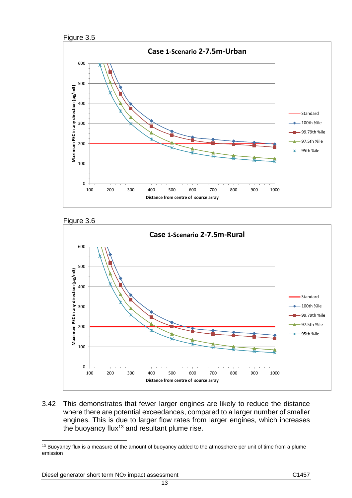







3.42 This demonstrates that fewer larger engines are likely to reduce the distance where there are potential exceedances, compared to a larger number of smaller engines. This is due to larger flow rates from larger engines, which increases the buoyancy flux<sup>13</sup> and resultant plume rise.

13

<sup>&</sup>lt;sup>13</sup> Buoyancy flux is a measure of the amount of buoyancy added to the atmosphere per unit of time from a plume emission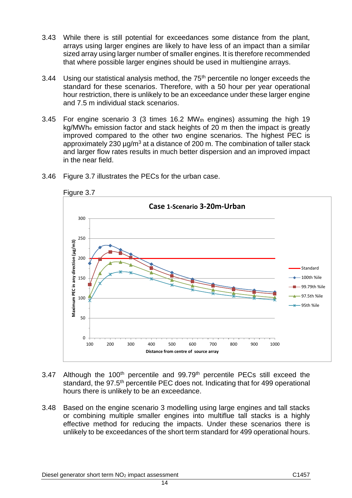- 3.43 While there is still potential for exceedances some distance from the plant, arrays using larger engines are likely to have less of an impact than a similar sized array using larger number of smaller engines. It is therefore recommended that where possible larger engines should be used in multiengine arrays.
- 3.44 Using our statistical analysis method, the  $75<sup>th</sup>$  percentile no longer exceeds the standard for these scenarios. Therefore, with a 50 hour per year operational hour restriction, there is unlikely to be an exceedance under these larger engine and 7.5 m individual stack scenarios.
- 3.45 For engine scenario 3 (3 times  $16.2$  MW<sub>th</sub> engines) assuming the high 19 kg/MWh<sup>e</sup> emission factor and stack heights of 20 m then the impact is greatly improved compared to the other two engine scenarios. The highest PEC is approximately 230  $\mu$ g/m<sup>3</sup> at a distance of 200 m. The combination of taller stack and larger flow rates results in much better dispersion and an improved impact in the near field.



3.46 Figure 3.7 illustrates the PECs for the urban case.

- 3.47 Although the 100<sup>th</sup> percentile and 99.79<sup>th</sup> percentile PECs still exceed the standard, the 97.5<sup>th</sup> percentile PEC does not. Indicating that for 499 operational hours there is unlikely to be an exceedance.
- 3.48 Based on the engine scenario 3 modelling using large engines and tall stacks or combining multiple smaller engines into multiflue tall stacks is a highly effective method for reducing the impacts. Under these scenarios there is unlikely to be exceedances of the short term standard for 499 operational hours.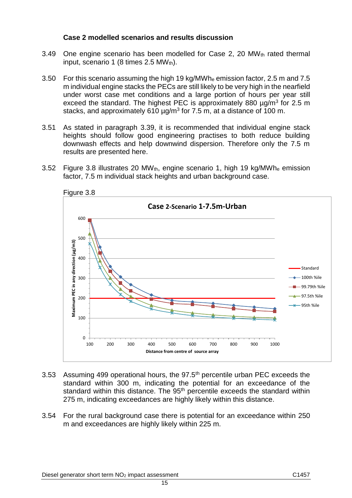### **Case 2 modelled scenarios and results discussion**

- 3.49 One engine scenario has been modelled for Case 2, 20 MWth rated thermal input, scenario 1 (8 times  $2.5$  MWth).
- 3.50 For this scenario assuming the high 19 kg/MWh<sup>e</sup> emission factor, 2.5 m and 7.5 m individual engine stacks the PECs are still likely to be very high in the nearfield under worst case met conditions and a large portion of hours per year still exceed the standard. The highest PEC is approximately 880  $\mu$ g/m<sup>3</sup> for 2.5 m stacks, and approximately 610  $\mu$ g/m<sup>3</sup> for 7.5 m, at a distance of 100 m.
- 3.51 As stated in paragraph 3.39, it is recommended that individual engine stack heights should follow good engineering practises to both reduce building downwash effects and help downwind dispersion. Therefore only the 7.5 m results are presented here.
- 3.52 Figure 3.8 illustrates 20 MWth, engine scenario 1, high 19 kg/MWh<sup>e</sup> emission factor, 7.5 m individual stack heights and urban background case.



- 3.53 Assuming 499 operational hours, the  $97.5<sup>th</sup>$  percentile urban PEC exceeds the standard within 300 m, indicating the potential for an exceedance of the standard within this distance. The 95<sup>th</sup> percentile exceeds the standard within 275 m, indicating exceedances are highly likely within this distance.
- 3.54 For the rural background case there is potential for an exceedance within 250 m and exceedances are highly likely within 225 m.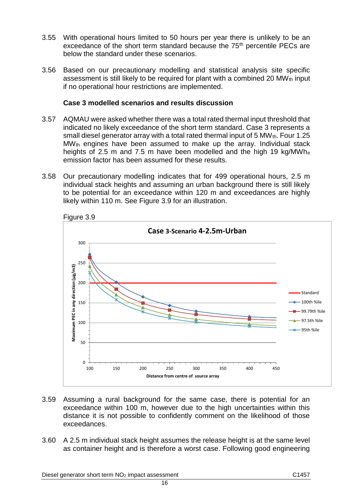- 3.55 With operational hours limited to 50 hours per year there is unlikely to be an exceedance of the short term standard because the 75<sup>th</sup> percentile PECs are below the standard under these scenarios.
- 3.56 Based on our precautionary modelling and statistical analysis site specific assessment is still likely to be required for plant with a combined 20 MW $_{th}$  input if no operational hour restrictions are implemented.

#### **Case 3 modelled scenarios and results discussion**

- 3.57 AQMAU were asked whether there was a total rated thermal input threshold that indicated no likely exceedance of the short term standard. Case 3 represents a small diesel generator array with a total rated thermal input of 5 MW $_{\text{th}}$ . Four 1.25 MWth engines have been assumed to make up the array. Individual stack heights of 2.5 m and 7.5 m have been modelled and the high 19 kg/MWh<sup>e</sup> emission factor has been assumed for these results.
- 3.58 Our precautionary modelling indicates that for 499 operational hours, 2.5 m individual stack heights and assuming an urban background there is still likely to be potential for an exceedance within 120 m and exceedances are highly likely within 110 m. See Figure 3.9 for an illustration.



- 3.59 Assuming a rural background for the same case, there is potential for an exceedance within 100 m, however due to the high uncertainties within this distance it is not possible to confidently comment on the likelihood of those exceedances.
- 3.60 A 2.5 m individual stack height assumes the release height is at the same level as container height and is therefore a worst case. Following good engineering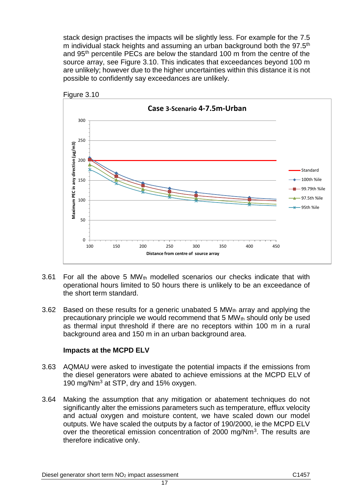stack design practises the impacts will be slightly less. For example for the 7.5 m individual stack heights and assuming an urban background both the 97.5<sup>th</sup> and 95th percentile PECs are below the standard 100 m from the centre of the source array, see Figure 3.10. This indicates that exceedances beyond 100 m are unlikely; however due to the higher uncertainties within this distance it is not possible to confidently say exceedances are unlikely.





- 3.61 For all the above 5 MW<sub>th</sub> modelled scenarios our checks indicate that with operational hours limited to 50 hours there is unlikely to be an exceedance of the short term standard.
- 3.62 Based on these results for a generic unabated 5 MW<sub>th</sub> array and applying the precautionary principle we would recommend that  $5 \text{ MW}_{th}$  should only be used as thermal input threshold if there are no receptors within 100 m in a rural background area and 150 m in an urban background area.

# **Impacts at the MCPD ELV**

- 3.63 AQMAU were asked to investigate the potential impacts if the emissions from the diesel generators were abated to achieve emissions at the MCPD ELV of 190 mg/Nm<sup>3</sup> at STP, dry and 15% oxygen.
- 3.64 Making the assumption that any mitigation or abatement techniques do not significantly alter the emissions parameters such as temperature, efflux velocity and actual oxygen and moisture content, we have scaled down our model outputs. We have scaled the outputs by a factor of 190/2000, ie the MCPD ELV over the theoretical emission concentration of 2000 mg/Nm<sup>3</sup>. The results are therefore indicative only.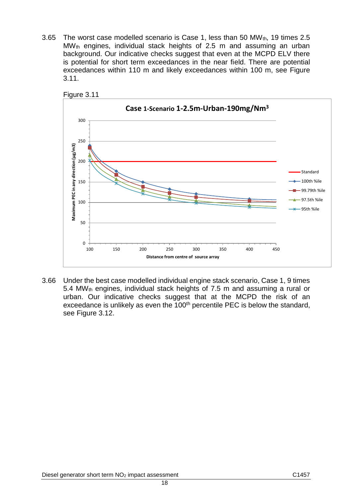3.65 The worst case modelled scenario is Case 1, less than 50 MW $_{th}$ , 19 times 2.5 MW<sub>th</sub> engines, individual stack heights of 2.5 m and assuming an urban background. Our indicative checks suggest that even at the MCPD ELV there is potential for short term exceedances in the near field. There are potential exceedances within 110 m and likely exceedances within 100 m, see Figure 3.11.





3.66 Under the best case modelled individual engine stack scenario, Case 1, 9 times 5.4 MWth engines, individual stack heights of 7.5 m and assuming a rural or urban. Our indicative checks suggest that at the MCPD the risk of an exceedance is unlikely as even the  $100<sup>th</sup>$  percentile PEC is below the standard, see Figure 3.12.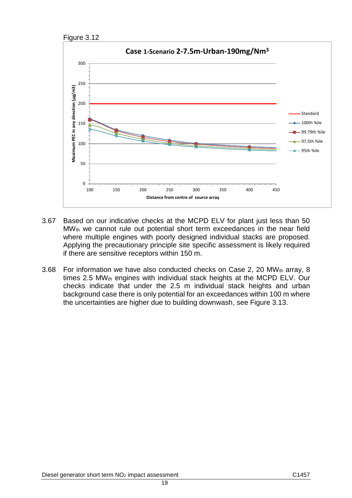



- 3.67 Based on our indicative checks at the MCPD ELV for plant just less than 50 MW<sub>th</sub> we cannot rule out potential short term exceedances in the near field where multiple engines with poorly designed individual stacks are proposed. Applying the precautionary principle site specific assessment is likely required if there are sensitive receptors within 150 m.
- 3.68 For information we have also conducted checks on Case 2, 20 MW<sub>th</sub> array, 8 times 2.5 MW<sub>th</sub> engines with individual stack heights at the MCPD ELV. Our checks indicate that under the 2.5 m individual stack heights and urban background case there is only potential for an exceedances within 100 m where the uncertainties are higher due to building downwash, see Figure 3.13.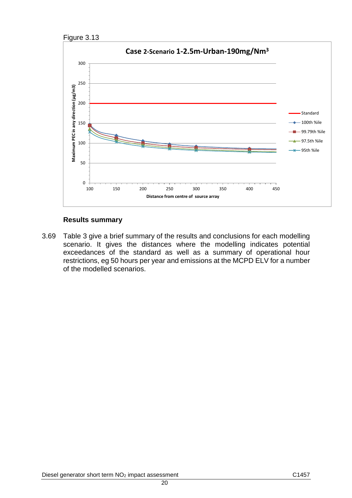



#### **Results summary**

3.69 Table 3 give a brief summary of the results and conclusions for each modelling scenario. It gives the distances where the modelling indicates potential exceedances of the standard as well as a summary of operational hour restrictions, eg 50 hours per year and emissions at the MCPD ELV for a number of the modelled scenarios.